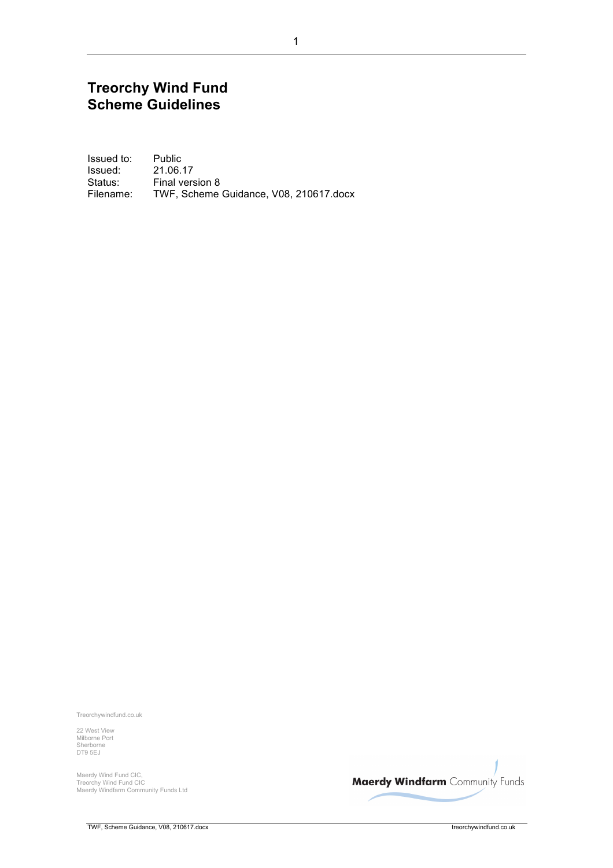#### **Treorchy Wind Fund Scheme Guidelines**

Issued to: Public Issued: 21.06.17 Status: Final version 8 Filename: TWF, Scheme Guidance, V08, 210617.docx

Treorchywindfund.co.uk

22 West View Milborne Port Sherborne DT9 5EJ

Maerdy Wind Fund CIC, Treorchy Wind Fund CIC Maerdy Windfarm Community Funds Ltd

**Maerdy Windfarm** Community Funds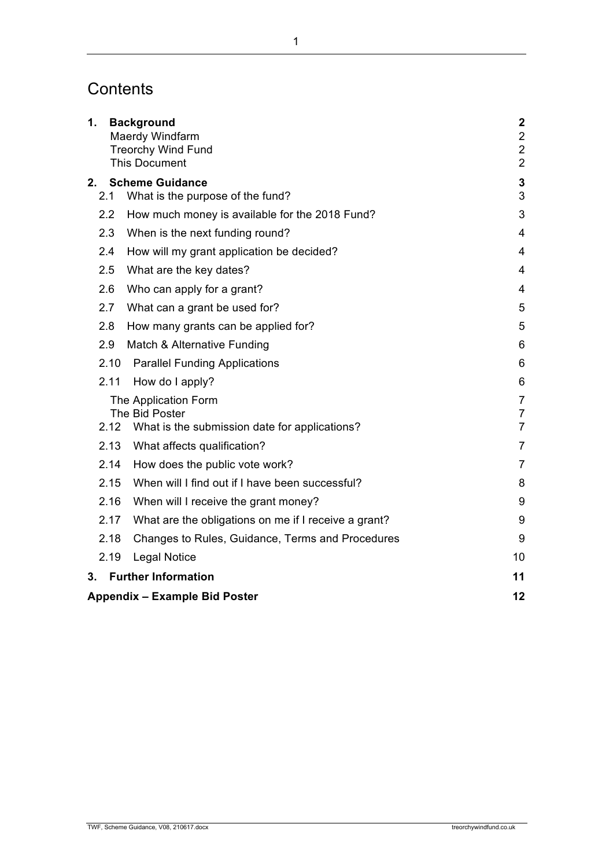## **Contents**

| 1.                                   |                  | <b>Background</b><br>Maerdy Windfarm<br><b>Treorchy Wind Fund</b> | $\boldsymbol{2}$<br>$\overline{2}$<br>$\overline{2}$ |
|--------------------------------------|------------------|-------------------------------------------------------------------|------------------------------------------------------|
|                                      |                  | <b>This Document</b>                                              | $\overline{2}$                                       |
| 2.                                   | 2.1              | <b>Scheme Guidance</b><br>What is the purpose of the fund?        | 3<br>3                                               |
|                                      | $2.2\phantom{0}$ | How much money is available for the 2018 Fund?                    | 3                                                    |
|                                      | 2.3              | When is the next funding round?                                   | $\overline{\mathbf{4}}$                              |
|                                      | 2.4              | How will my grant application be decided?                         | 4                                                    |
|                                      | 2.5              | What are the key dates?                                           | 4                                                    |
|                                      | 2.6              | Who can apply for a grant?                                        | 4                                                    |
|                                      | 2.7              | What can a grant be used for?                                     | 5                                                    |
|                                      | 2.8              | How many grants can be applied for?                               | 5                                                    |
|                                      | 2.9              | Match & Alternative Funding                                       | 6                                                    |
|                                      | 2.10             | <b>Parallel Funding Applications</b>                              | 6                                                    |
|                                      | 2.11             | How do I apply?                                                   | 6                                                    |
|                                      |                  | The Application Form                                              | $\overline{7}$                                       |
| The Bid Poster<br>2.12               |                  |                                                                   | $\overline{7}$<br>$\overline{7}$                     |
|                                      |                  | What is the submission date for applications?                     |                                                      |
|                                      | 2.13             | What affects qualification?                                       | $\overline{7}$                                       |
|                                      | 2.14             | How does the public vote work?                                    | $\overline{7}$                                       |
|                                      | 2.15             | When will I find out if I have been successful?                   | 8                                                    |
|                                      | 2.16             | When will I receive the grant money?                              | 9                                                    |
|                                      | 2.17             | What are the obligations on me if I receive a grant?              | 9                                                    |
|                                      | 2.18             | Changes to Rules, Guidance, Terms and Procedures                  | 9                                                    |
|                                      | 2.19             | <b>Legal Notice</b>                                               | 10                                                   |
| 3.                                   |                  | <b>Further Information</b>                                        | 11                                                   |
| <b>Appendix - Example Bid Poster</b> |                  |                                                                   | 12                                                   |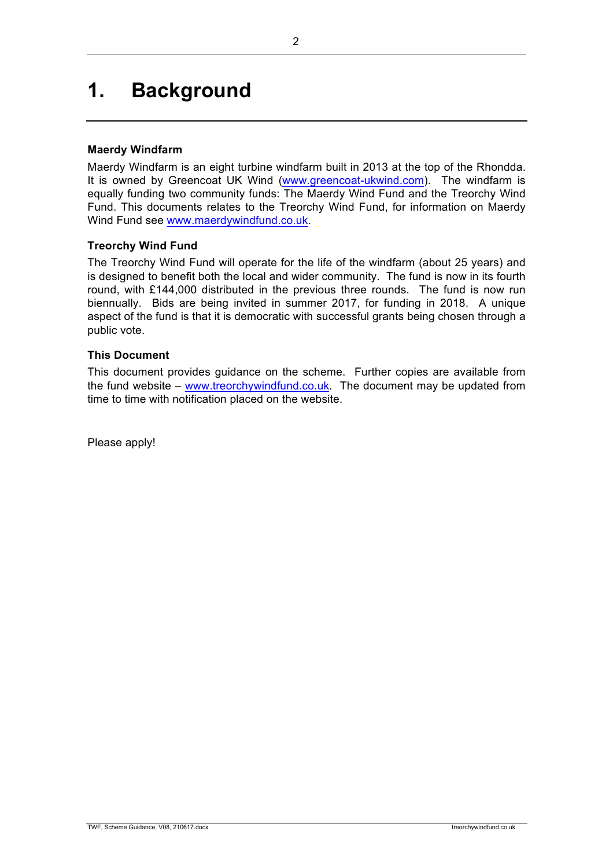# **1. Background**

#### **Maerdy Windfarm**

Maerdy Windfarm is an eight turbine windfarm built in 2013 at the top of the Rhondda. It is owned by Greencoat UK Wind (www.greencoat-ukwind.com). The windfarm is equally funding two community funds: The Maerdy Wind Fund and the Treorchy Wind Fund. This documents relates to the Treorchy Wind Fund, for information on Maerdy Wind Fund see www.maerdywindfund.co.uk.

#### **Treorchy Wind Fund**

The Treorchy Wind Fund will operate for the life of the windfarm (about 25 years) and is designed to benefit both the local and wider community. The fund is now in its fourth round, with £144,000 distributed in the previous three rounds. The fund is now run biennually. Bids are being invited in summer 2017, for funding in 2018. A unique aspect of the fund is that it is democratic with successful grants being chosen through a public vote.

#### **This Document**

This document provides guidance on the scheme. Further copies are available from the fund website – www.treorchywindfund.co.uk. The document may be updated from time to time with notification placed on the website.

Please apply!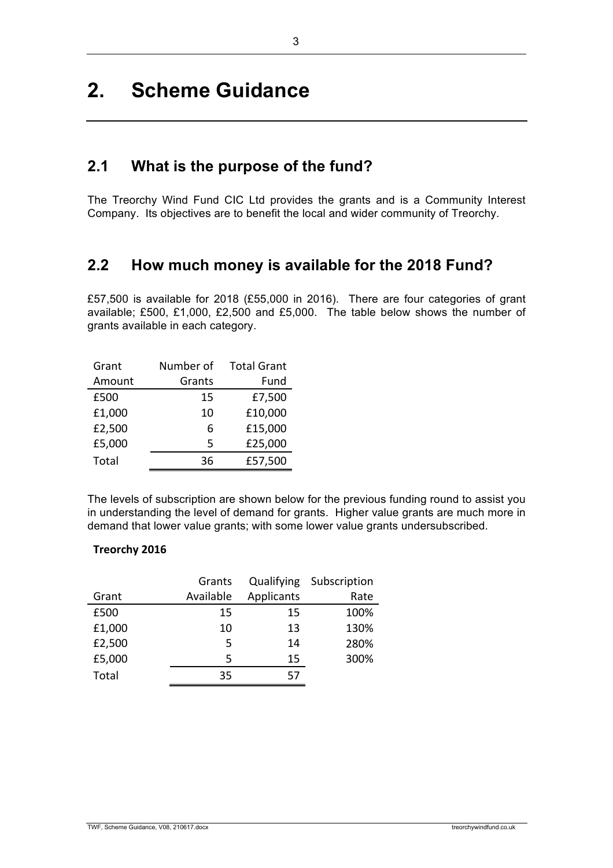## **2. Scheme Guidance**

#### **2.1 What is the purpose of the fund?**

The Treorchy Wind Fund CIC Ltd provides the grants and is a Community Interest Company. Its objectives are to benefit the local and wider community of Treorchy.

#### **2.2 How much money is available for the 2018 Fund?**

£57,500 is available for 2018 (£55,000 in 2016). There are four categories of grant available; £500, £1,000, £2,500 and £5,000. The table below shows the number of grants available in each category.

| Grant  | Number of | <b>Total Grant</b> |
|--------|-----------|--------------------|
| Amount | Grants    | Fund               |
| £500   | 15        | £7,500             |
| £1,000 | 10        | £10,000            |
| £2,500 | 6         | £15,000            |
| £5,000 | 5         | £25,000            |
| Total  | 36        | £57,500            |

The levels of subscription are shown below for the previous funding round to assist you in understanding the level of demand for grants. Higher value grants are much more in demand that lower value grants; with some lower value grants undersubscribed.

#### **Treorchy 2016**

|        | Grants    |            | Qualifying Subscription |
|--------|-----------|------------|-------------------------|
| Grant  | Available | Applicants | Rate                    |
| £500   | 15        | 15         | 100%                    |
| £1,000 | 10        | 13         | 130%                    |
| £2,500 | 5         | 14         | 280%                    |
| £5,000 | 5         | 15         | 300%                    |
| Total  | 35        | 57         |                         |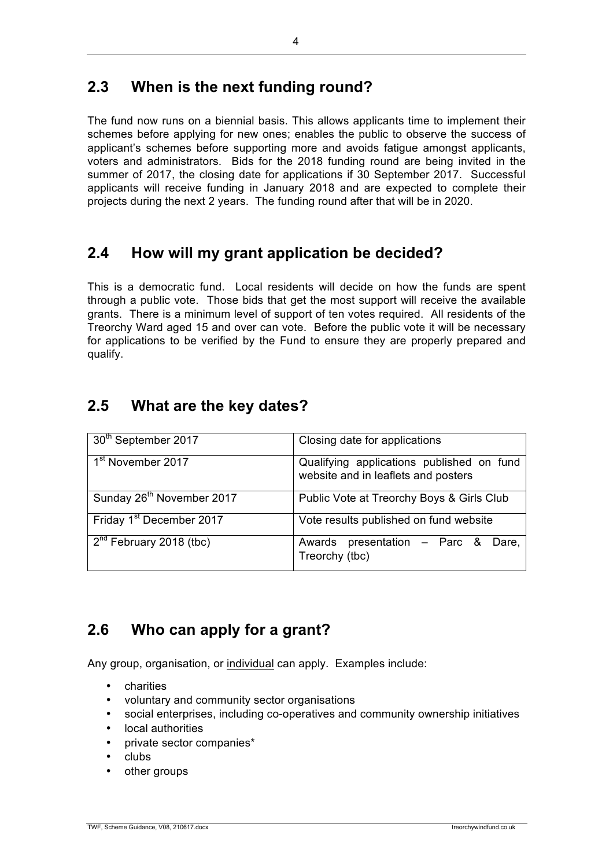### **2.3 When is the next funding round?**

The fund now runs on a biennial basis. This allows applicants time to implement their schemes before applying for new ones; enables the public to observe the success of applicant's schemes before supporting more and avoids fatigue amongst applicants, voters and administrators. Bids for the 2018 funding round are being invited in the summer of 2017, the closing date for applications if 30 September 2017. Successful applicants will receive funding in January 2018 and are expected to complete their projects during the next 2 years. The funding round after that will be in 2020.

### **2.4 How will my grant application be decided?**

This is a democratic fund. Local residents will decide on how the funds are spent through a public vote. Those bids that get the most support will receive the available grants. There is a minimum level of support of ten votes required. All residents of the Treorchy Ward aged 15 and over can vote. Before the public vote it will be necessary for applications to be verified by the Fund to ensure they are properly prepared and qualify.

#### **2.5 What are the key dates?**

| 30 <sup>th</sup> September 2017       | Closing date for applications                                                    |
|---------------------------------------|----------------------------------------------------------------------------------|
| 1 <sup>st</sup> November 2017         | Qualifying applications published on fund<br>website and in leaflets and posters |
| Sunday 26 <sup>th</sup> November 2017 | Public Vote at Treorchy Boys & Girls Club                                        |
| Friday 1 <sup>st</sup> December 2017  | Vote results published on fund website                                           |
| $2nd$ February 2018 (tbc)             | Awards presentation - Parc &<br>Dare.<br>Treorchy (tbc)                          |

### **2.6 Who can apply for a grant?**

Any group, organisation, or individual can apply. Examples include:

- charities
- voluntary and community sector organisations
- social enterprises, including co-operatives and community ownership initiatives
- local authorities
- private sector companies\*
- clubs
- other groups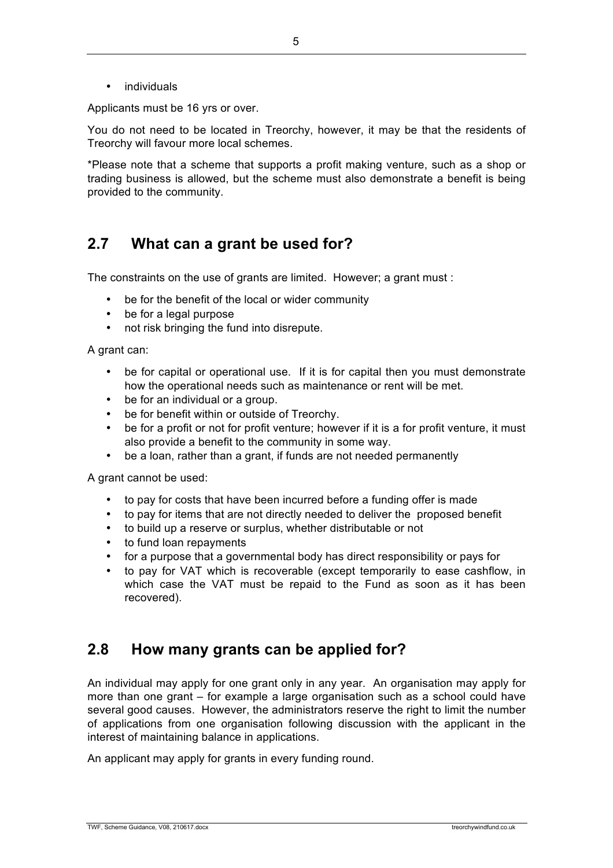• individuals

Applicants must be 16 yrs or over.

You do not need to be located in Treorchy, however, it may be that the residents of Treorchy will favour more local schemes.

\*Please note that a scheme that supports a profit making venture, such as a shop or trading business is allowed, but the scheme must also demonstrate a benefit is being provided to the community.

#### **2.7 What can a grant be used for?**

The constraints on the use of grants are limited. However; a grant must :

- be for the benefit of the local or wider community
- be for a legal purpose
- not risk bringing the fund into disrepute.

A grant can:

- be for capital or operational use. If it is for capital then you must demonstrate how the operational needs such as maintenance or rent will be met.
- be for an individual or a group.
- be for benefit within or outside of Treorchy.
- be for a profit or not for profit venture; however if it is a for profit venture, it must also provide a benefit to the community in some way.
- be a loan, rather than a grant, if funds are not needed permanently

A grant cannot be used:

- to pay for costs that have been incurred before a funding offer is made
- to pay for items that are not directly needed to deliver the proposed benefit
- to build up a reserve or surplus, whether distributable or not
- to fund loan repayments
- for a purpose that a governmental body has direct responsibility or pays for
- to pay for VAT which is recoverable (except temporarily to ease cashflow, in which case the VAT must be repaid to the Fund as soon as it has been recovered).

#### **2.8 How many grants can be applied for?**

An individual may apply for one grant only in any year. An organisation may apply for more than one grant – for example a large organisation such as a school could have several good causes. However, the administrators reserve the right to limit the number of applications from one organisation following discussion with the applicant in the interest of maintaining balance in applications.

An applicant may apply for grants in every funding round.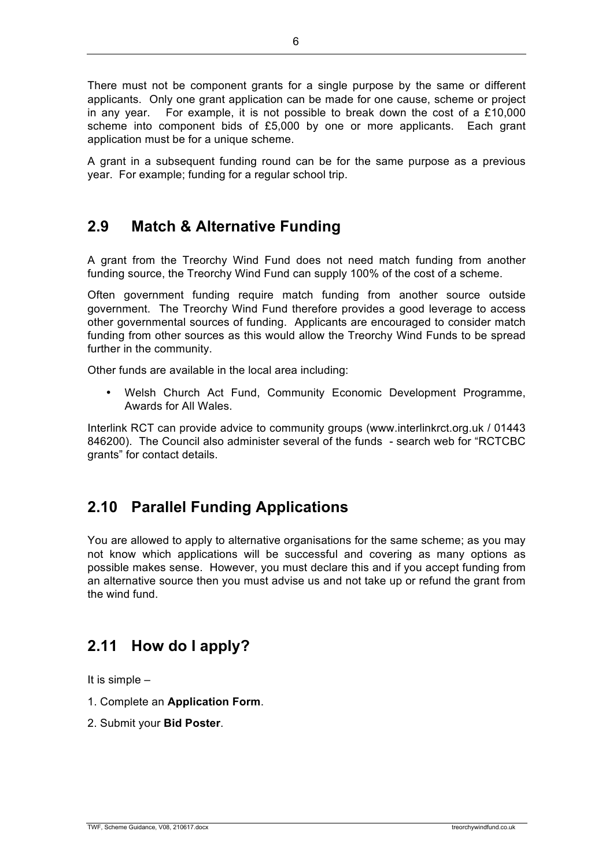There must not be component grants for a single purpose by the same or different applicants. Only one grant application can be made for one cause, scheme or project in any year. For example, it is not possible to break down the cost of a £10,000 scheme into component bids of £5,000 by one or more applicants. Each grant application must be for a unique scheme.

A grant in a subsequent funding round can be for the same purpose as a previous year. For example; funding for a regular school trip.

### **2.9 Match & Alternative Funding**

A grant from the Treorchy Wind Fund does not need match funding from another funding source, the Treorchy Wind Fund can supply 100% of the cost of a scheme.

Often government funding require match funding from another source outside government. The Treorchy Wind Fund therefore provides a good leverage to access other governmental sources of funding. Applicants are encouraged to consider match funding from other sources as this would allow the Treorchy Wind Funds to be spread further in the community.

Other funds are available in the local area including:

• Welsh Church Act Fund, Community Economic Development Programme, Awards for All Wales.

Interlink RCT can provide advice to community groups (www.interlinkrct.org.uk / 01443 846200). The Council also administer several of the funds - search web for "RCTCBC grants" for contact details.

## **2.10 Parallel Funding Applications**

You are allowed to apply to alternative organisations for the same scheme; as you may not know which applications will be successful and covering as many options as possible makes sense. However, you must declare this and if you accept funding from an alternative source then you must advise us and not take up or refund the grant from the wind fund.

### **2.11 How do I apply?**

It is simple –

- 1. Complete an **Application Form**.
- 2. Submit your **Bid Poster**.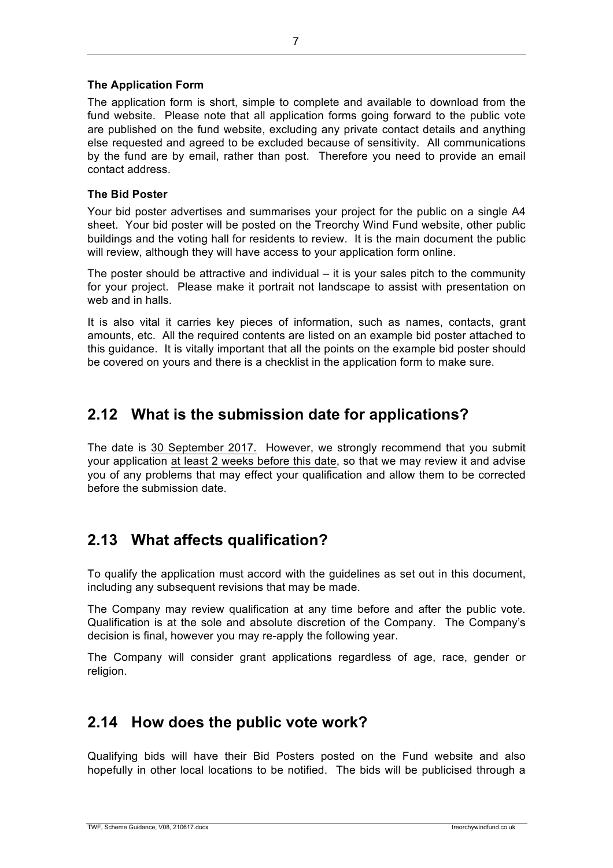The application form is short, simple to complete and available to download from the fund website. Please note that all application forms going forward to the public vote are published on the fund website, excluding any private contact details and anything else requested and agreed to be excluded because of sensitivity. All communications by the fund are by email, rather than post. Therefore you need to provide an email contact address.

#### **The Bid Poster**

Your bid poster advertises and summarises your project for the public on a single A4 sheet. Your bid poster will be posted on the Treorchy Wind Fund website, other public buildings and the voting hall for residents to review. It is the main document the public will review, although they will have access to your application form online.

The poster should be attractive and individual  $-$  it is your sales pitch to the community for your project. Please make it portrait not landscape to assist with presentation on web and in halls.

It is also vital it carries key pieces of information, such as names, contacts, grant amounts, etc. All the required contents are listed on an example bid poster attached to this guidance. It is vitally important that all the points on the example bid poster should be covered on yours and there is a checklist in the application form to make sure.

#### **2.12 What is the submission date for applications?**

The date is 30 September 2017. However, we strongly recommend that you submit your application at least 2 weeks before this date, so that we may review it and advise you of any problems that may effect your qualification and allow them to be corrected before the submission date.

### **2.13 What affects qualification?**

To qualify the application must accord with the guidelines as set out in this document, including any subsequent revisions that may be made.

The Company may review qualification at any time before and after the public vote. Qualification is at the sole and absolute discretion of the Company. The Company's decision is final, however you may re-apply the following year.

The Company will consider grant applications regardless of age, race, gender or religion.

#### **2.14 How does the public vote work?**

Qualifying bids will have their Bid Posters posted on the Fund website and also hopefully in other local locations to be notified. The bids will be publicised through a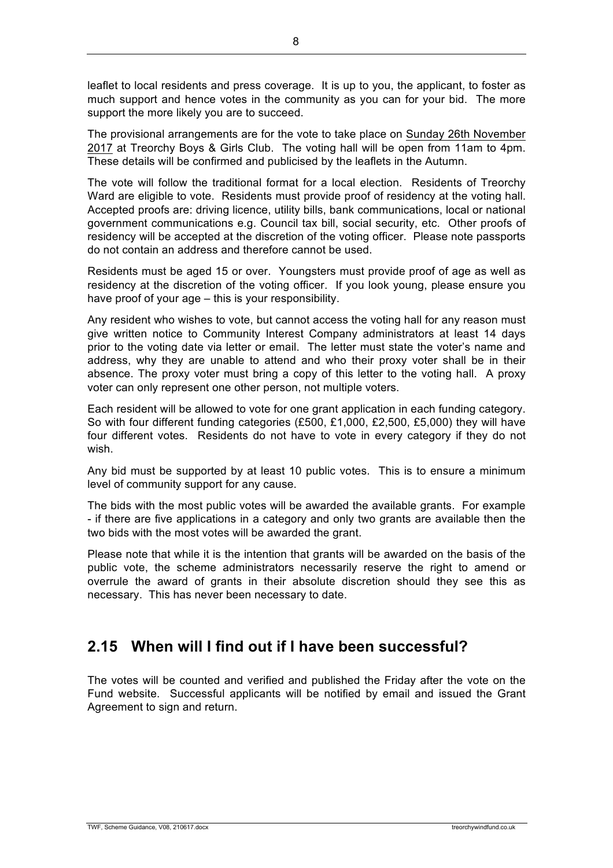leaflet to local residents and press coverage. It is up to you, the applicant, to foster as much support and hence votes in the community as you can for your bid. The more support the more likely you are to succeed.

The provisional arrangements are for the vote to take place on Sunday 26th November 2017 at Treorchy Boys & Girls Club. The voting hall will be open from 11am to 4pm. These details will be confirmed and publicised by the leaflets in the Autumn.

The vote will follow the traditional format for a local election. Residents of Treorchy Ward are eligible to vote. Residents must provide proof of residency at the voting hall. Accepted proofs are: driving licence, utility bills, bank communications, local or national government communications e.g. Council tax bill, social security, etc. Other proofs of residency will be accepted at the discretion of the voting officer. Please note passports do not contain an address and therefore cannot be used.

Residents must be aged 15 or over. Youngsters must provide proof of age as well as residency at the discretion of the voting officer. If you look young, please ensure you have proof of your age – this is your responsibility.

Any resident who wishes to vote, but cannot access the voting hall for any reason must give written notice to Community Interest Company administrators at least 14 days prior to the voting date via letter or email. The letter must state the voter's name and address, why they are unable to attend and who their proxy voter shall be in their absence. The proxy voter must bring a copy of this letter to the voting hall. A proxy voter can only represent one other person, not multiple voters.

Each resident will be allowed to vote for one grant application in each funding category. So with four different funding categories (£500, £1,000, £2,500, £5,000) they will have four different votes. Residents do not have to vote in every category if they do not wish.

Any bid must be supported by at least 10 public votes. This is to ensure a minimum level of community support for any cause.

The bids with the most public votes will be awarded the available grants. For example - if there are five applications in a category and only two grants are available then the two bids with the most votes will be awarded the grant.

Please note that while it is the intention that grants will be awarded on the basis of the public vote, the scheme administrators necessarily reserve the right to amend or overrule the award of grants in their absolute discretion should they see this as necessary. This has never been necessary to date.

### **2.15 When will I find out if I have been successful?**

The votes will be counted and verified and published the Friday after the vote on the Fund website. Successful applicants will be notified by email and issued the Grant Agreement to sign and return.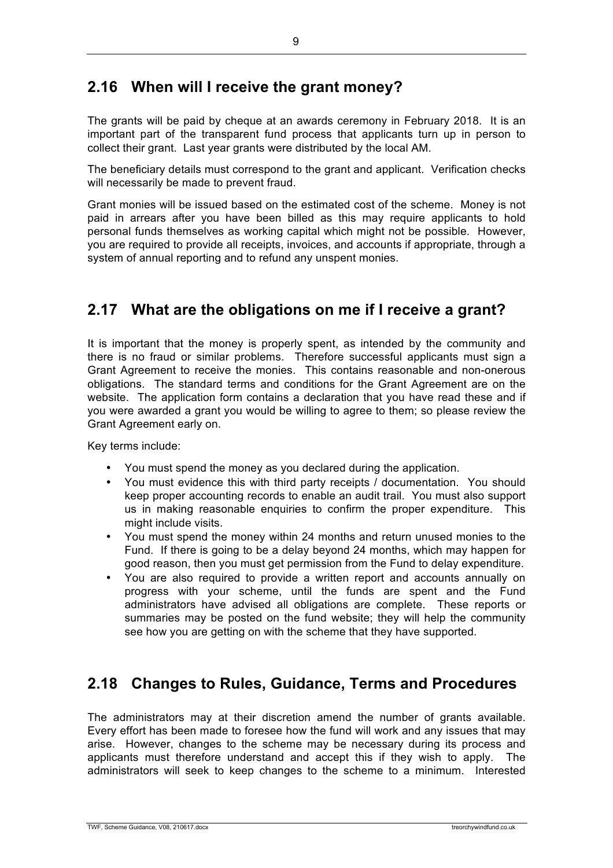#### **2.16 When will I receive the grant money?**

The grants will be paid by cheque at an awards ceremony in February 2018. It is an important part of the transparent fund process that applicants turn up in person to collect their grant. Last year grants were distributed by the local AM.

The beneficiary details must correspond to the grant and applicant. Verification checks will necessarily be made to prevent fraud.

Grant monies will be issued based on the estimated cost of the scheme. Money is not paid in arrears after you have been billed as this may require applicants to hold personal funds themselves as working capital which might not be possible. However, you are required to provide all receipts, invoices, and accounts if appropriate, through a system of annual reporting and to refund any unspent monies.

### **2.17 What are the obligations on me if I receive a grant?**

It is important that the money is properly spent, as intended by the community and there is no fraud or similar problems. Therefore successful applicants must sign a Grant Agreement to receive the monies. This contains reasonable and non-onerous obligations. The standard terms and conditions for the Grant Agreement are on the website. The application form contains a declaration that you have read these and if you were awarded a grant you would be willing to agree to them; so please review the Grant Agreement early on.

Key terms include:

- You must spend the money as you declared during the application.
- You must evidence this with third party receipts / documentation. You should keep proper accounting records to enable an audit trail. You must also support us in making reasonable enquiries to confirm the proper expenditure. This might include visits.
- You must spend the money within 24 months and return unused monies to the Fund. If there is going to be a delay beyond 24 months, which may happen for good reason, then you must get permission from the Fund to delay expenditure.
- You are also required to provide a written report and accounts annually on progress with your scheme, until the funds are spent and the Fund administrators have advised all obligations are complete. These reports or summaries may be posted on the fund website; they will help the community see how you are getting on with the scheme that they have supported.

## **2.18 Changes to Rules, Guidance, Terms and Procedures**

The administrators may at their discretion amend the number of grants available. Every effort has been made to foresee how the fund will work and any issues that may arise. However, changes to the scheme may be necessary during its process and applicants must therefore understand and accept this if they wish to apply. The administrators will seek to keep changes to the scheme to a minimum. Interested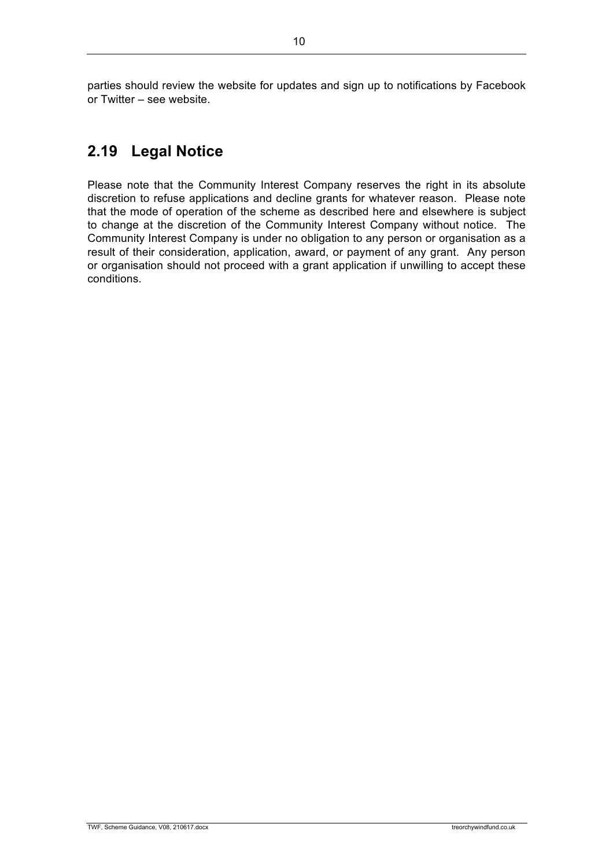parties should review the website for updates and sign up to notifications by Facebook or Twitter – see website.

## **2.19 Legal Notice**

Please note that the Community Interest Company reserves the right in its absolute discretion to refuse applications and decline grants for whatever reason. Please note that the mode of operation of the scheme as described here and elsewhere is subject to change at the discretion of the Community Interest Company without notice. The Community Interest Company is under no obligation to any person or organisation as a result of their consideration, application, award, or payment of any grant. Any person or organisation should not proceed with a grant application if unwilling to accept these conditions.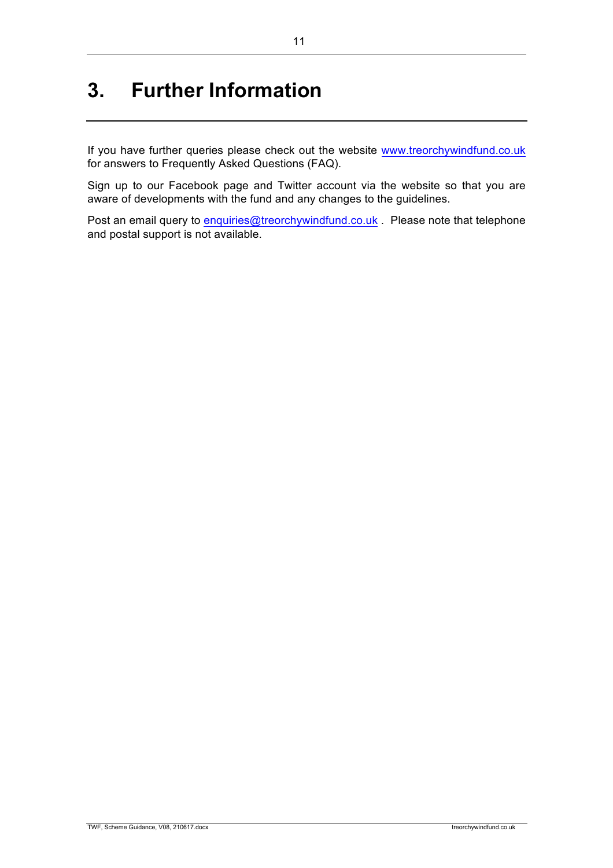# **3. Further Information**

If you have further queries please check out the website www.treorchywindfund.co.uk for answers to Frequently Asked Questions (FAQ).

Sign up to our Facebook page and Twitter account via the website so that you are aware of developments with the fund and any changes to the guidelines.

Post an email query to enquiries@treorchywindfund.co.uk . Please note that telephone and postal support is not available.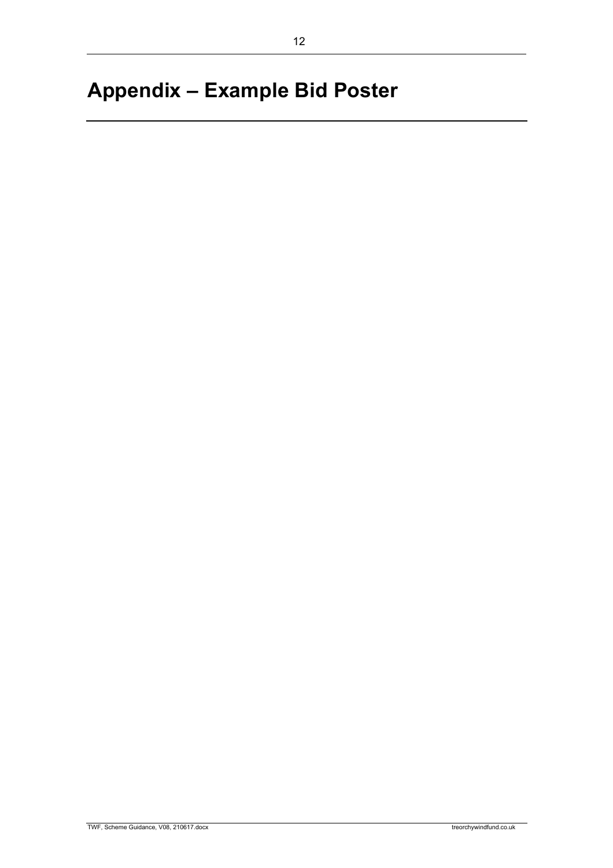# **Appendix – Example Bid Poster**